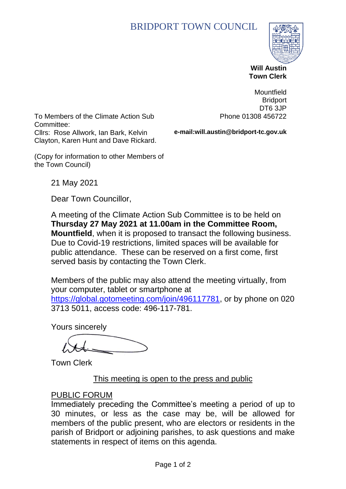# BRIDPORT TOWN COUNCIL



 **Will Austin Town Clerk**

To Members of the Climate Action Sub Committee: Cllrs: Rose Allwork, Ian Bark, Kelvin Clayton, Karen Hunt and Dave Rickard.

Mountfield **Bridport** DT6 3JP Phone 01308 456722

**e-mail:will.austin@bridport-tc.gov.uk**

(Copy for information to other Members of the Town Council)

21 May 2021

Dear Town Councillor,

A meeting of the Climate Action Sub Committee is to be held on **Thursday 27 May 2021 at 11.00am in the Committee Room, Mountfield**, when it is proposed to transact the following business. Due to Covid-19 restrictions, limited spaces will be available for public attendance. These can be reserved on a first come, first served basis by contacting the Town Clerk.

Members of the public may also attend the meeting virtually, from your computer, tablet or smartphone at [https://global.gotomeeting.com/join/496117781,](https://global.gotomeeting.com/join/496117781) or by phone on 020 3713 5011, access code: 496-117-781.

Yours sincerely

Town Clerk

# This meeting is open to the press and public

#### PUBLIC FORUM

Immediately preceding the Committee's meeting a period of up to 30 minutes, or less as the case may be, will be allowed for members of the public present, who are electors or residents in the parish of Bridport or adjoining parishes, to ask questions and make statements in respect of items on this agenda.